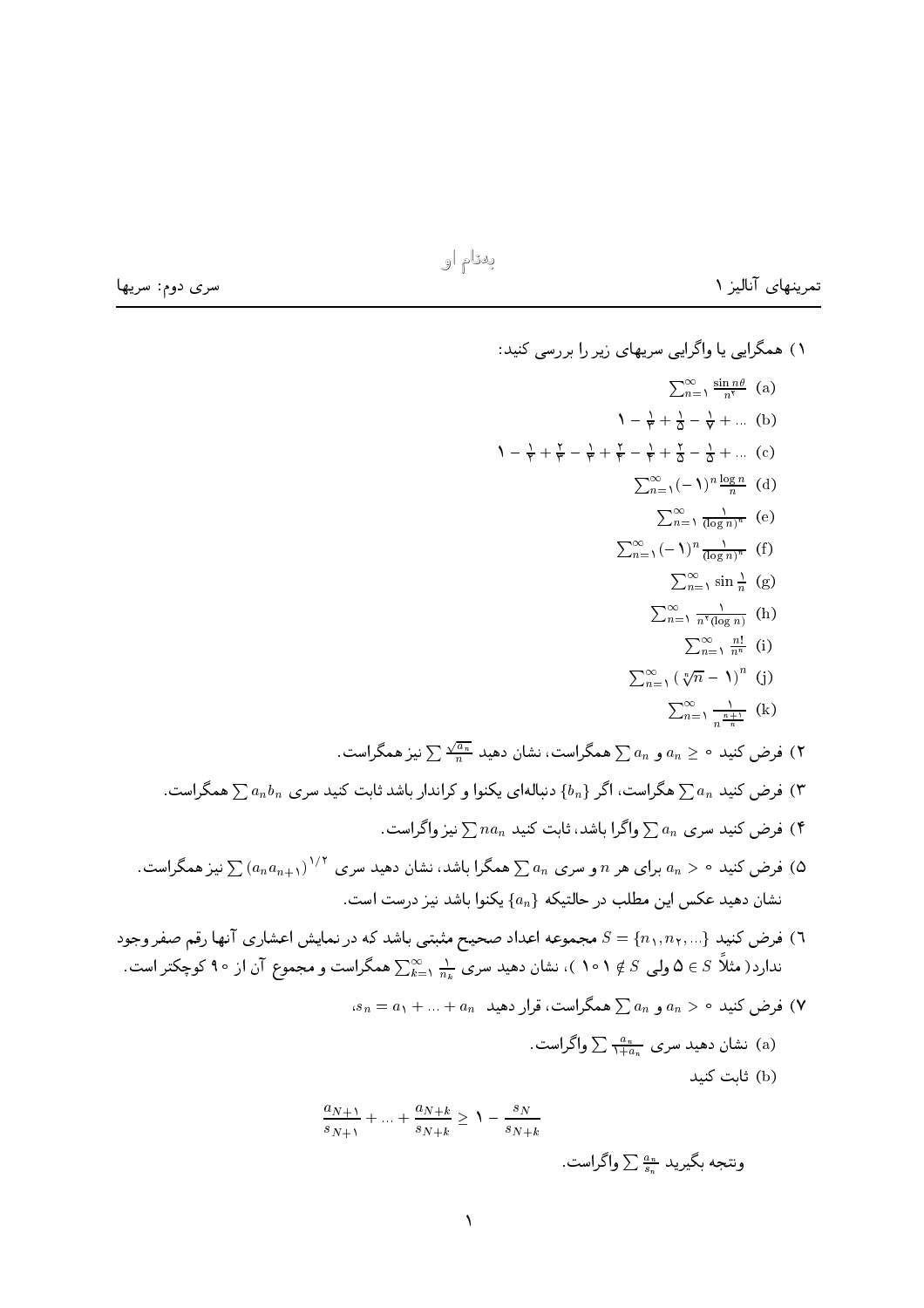سری دوم: سریها

تمرینهای آنالیز ۱

۱) همگرایی یا واگرایی سریهای زیر را بررسی کنید:  $\sum_{n=1}^{\infty} \frac{\sin n\theta}{n^{\gamma}}$  (a)  $1 - \frac{1}{r} + \frac{1}{r} - \frac{1}{r} + ...$  (b)  $1 - \frac{1}{r} + \frac{r}{r} - \frac{1}{r} + \frac{r}{r} - \frac{1}{r} + \frac{r}{0} - \frac{1}{2} + \dots$  (c)  $\sum_{n=1}^{\infty} (-1)^n \frac{\log n}{n}$  (d)  $\sum_{n=1}^{\infty} \frac{1}{(\log n)^n}$  (e)  $\sum_{n=1}^{\infty} (-1)^n \frac{1}{(\log n)^n}$  (f)  $\sum_{n=1}^{\infty} \sin \frac{1}{n}$  (g)  $\sum_{n=1}^{\infty} \frac{1}{n^{\tau}(\log n)}$  (h)  $\sum_{n=1}^{\infty} \frac{n!}{n^n}$  (i)  $\sum_{n=1}^{\infty} \left(\sqrt[n]{n} - 1\right)^n$  (j)  $\sum_{n=1}^{\infty} \frac{1}{\frac{n+1}{n}}$  (k) فرض کنید  $a_n \geq a_n$  و  $a_n \geq 0$ همگراست، نشان دهید  $\frac{\sqrt{a_n}}{n}$  نیز همگراست. (۲ ب هرض کنید  $\sum a_n$  هگراست، اگر  $\{b_n\}$  دنبالهای یکنوا و کراندار باشد ثابت کنید سری  $a_n b_n$  همگراست. (۳ فرض کنید سری  $\sum a_n$  واگرا باشد، ثابت کنید  $\sum na_n$  نیز واگراست. (۴ فرض کنید ۰  $a_n > a_n$  برای هر  $n$  و سری  $a_n \gtrsim \sqrt{(a_n a_{n+1})^{1/5}}$  همگرا باشد، نشان دهید سری  $\left(\alpha_1 a_{n+1}\right)^{1/5}$  نیز همگراست. نشان دهید عکس این مطلب در حالتیکه  $\{a_n\}$  یکنوا باشد نیز درست است. ا) فرض کنید {... , n = {n {n } مجموعه اعداد صحیح مثبتی باشد که در نمایش اعشاری آنها رقم صفر وجود ( ندارد( مثلاً $S\in S$  ولی  $S\notin S$  ۱ ه ۱ )، نشان دهید سری  $\frac{1}{n_k}\sum_{k=1}^\infty \frac{1}{n_k}$  همگراست و مجموع آن از ۹۰ کوچکتر است.  $s_n = a_1 + ... + a_n$  و  $a_n > a_n$  و  $a_n > a_n$ ا همگراست، قرار دهید  $( \mathsf{Y}$ نشان دهید سری  $\frac{a_n}{\lambda+a} \sum_{\mu}$  واگراست. (b) ثابت کنید  $\frac{a_{N+1}}{s_{N+1}} + \ldots + \frac{a_{N+k}}{s_{N+k}} \geq 1 - \frac{s_N}{s_{N+k}}$ 

ونتجه بگیرید ﷺ $\sum \frac{a_{n}}{s}$  واگراست.